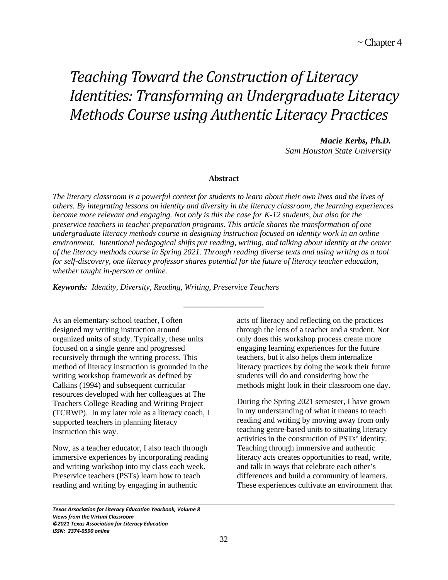# *Teaching Toward the Construction of Literacy Identities: Transforming an Undergraduate Literacy Methods Course using Authentic Literacy Practices*

*Macie Kerbs, Ph.D. Sam Houston State University*

# **Abstract**

*The literacy classroom is a powerful context for students to learn about their own lives and the lives of others. By integrating lessons on identity and diversity in the literacy classroom, the learning experiences become more relevant and engaging. Not only is this the case for K-12 students, but also for the preservice teachers in teacher preparation programs. This article shares the transformation of one undergraduate literacy methods course in designing instruction focused on identity work in an online environment. Intentional pedagogical shifts put reading, writing, and talking about identity at the center of the literacy methods course in Spring 2021. Through reading diverse texts and using writing as a tool for self-discovery, one literacy professor shares potential for the future of literacy teacher education, whether taught in-person or online.* 

**\_\_\_\_\_\_\_\_\_\_\_\_\_\_\_\_\_\_\_\_**

*Keywords: Identity, Diversity, Reading, Writing, Preservice Teachers*

As an elementary school teacher, I often designed my writing instruction around organized units of study. Typically, these units focused on a single genre and progressed recursively through the writing process. This method of literacy instruction is grounded in the writing workshop framework as defined by Calkins (1994) and subsequent curricular resources developed with her colleagues at The Teachers College Reading and Writing Project (TCRWP). In my later role as a literacy coach, I supported teachers in planning literacy instruction this way.

Now, as a teacher educator, I also teach through immersive experiences by incorporating reading and writing workshop into my class each week. Preservice teachers (PSTs) learn how to teach reading and writing by engaging in authentic

acts of literacy and reflecting on the practices through the lens of a teacher and a student. Not only does this workshop process create more engaging learning experiences for the future teachers, but it also helps them internalize literacy practices by doing the work their future students will do and considering how the methods might look in their classroom one day.

During the Spring 2021 semester, I have grown in my understanding of what it means to teach reading and writing by moving away from only teaching genre-based units to situating literacy activities in the construction of PSTs' identity. Teaching through immersive and authentic literacy acts creates opportunities to read, write, and talk in ways that celebrate each other's differences and build a community of learners. These experiences cultivate an environment that

*Texas Association for Literacy Education Yearbook, Volume 8 Views from the Virtual Classroom ©2021 Texas Association for Literacy Education ISSN: 2374-0590 online*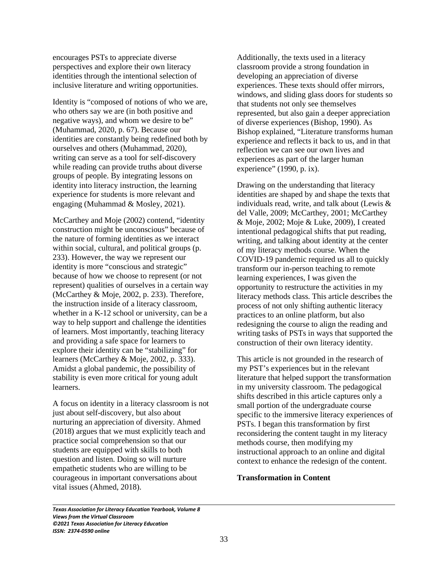encourages PSTs to appreciate diverse perspectives and explore their own literacy identities through the intentional selection of inclusive literature and writing opportunities.

Identity is "composed of notions of who we are, who others say we are (in both positive and negative ways), and whom we desire to be" (Muhammad, 2020, p. 67). Because our identities are constantly being redefined both by ourselves and others (Muhammad, 2020), writing can serve as a tool for self-discovery while reading can provide truths about diverse groups of people. By integrating lessons on identity into literacy instruction, the learning experience for students is more relevant and engaging (Muhammad & Mosley, 2021).

McCarthey and Moje (2002) contend, "identity construction might be unconscious" because of the nature of forming identities as we interact within social, cultural, and political groups (p. 233). However, the way we represent our identity is more "conscious and strategic" because of how we choose to represent (or not represent) qualities of ourselves in a certain way (McCarthey & Moje, 2002, p. 233). Therefore, the instruction inside of a literacy classroom, whether in a K-12 school or university, can be a way to help support and challenge the identities of learners. Most importantly, teaching literacy and providing a safe space for learners to explore their identity can be "stabilizing" for learners (McCarthey & Moje, 2002, p. 333). Amidst a global pandemic, the possibility of stability is even more critical for young adult learners.

A focus on identity in a literacy classroom is not just about self-discovery, but also about nurturing an appreciation of diversity. Ahmed (2018) argues that we must explicitly teach and practice social comprehension so that our students are equipped with skills to both question and listen. Doing so will nurture empathetic students who are willing to be courageous in important conversations about vital issues (Ahmed, 2018).

Additionally, the texts used in a literacy classroom provide a strong foundation in developing an appreciation of diverse experiences. These texts should offer mirrors, windows, and sliding glass doors for students so that students not only see themselves represented, but also gain a deeper appreciation of diverse experiences (Bishop, 1990). As Bishop explained, "Literature transforms human experience and reflects it back to us, and in that reflection we can see our own lives and experiences as part of the larger human experience" (1990, p. ix).

Drawing on the understanding that literacy identities are shaped by and shape the texts that individuals read, write, and talk about (Lewis & del Valle, 2009; McCarthey, 2001; McCarthey & Moje, 2002; Moje & Luke, 2009), I created intentional pedagogical shifts that put reading, writing, and talking about identity at the center of my literacy methods course. When the COVID-19 pandemic required us all to quickly transform our in-person teaching to remote learning experiences, I was given the opportunity to restructure the activities in my literacy methods class. This article describes the process of not only shifting authentic literacy practices to an online platform, but also redesigning the course to align the reading and writing tasks of PSTs in ways that supported the construction of their own literacy identity.

This article is not grounded in the research of my PST's experiences but in the relevant literature that helped support the transformation in my university classroom. The pedagogical shifts described in this article captures only a small portion of the undergraduate course specific to the immersive literacy experiences of PSTs. I began this transformation by first reconsidering the content taught in my literacy methods course, then modifying my instructional approach to an online and digital context to enhance the redesign of the content.

# **Transformation in Content**

*Texas Association for Literacy Education Yearbook, Volume 8 Views from the Virtual Classroom ©2021 Texas Association for Literacy Education ISSN: 2374-0590 online*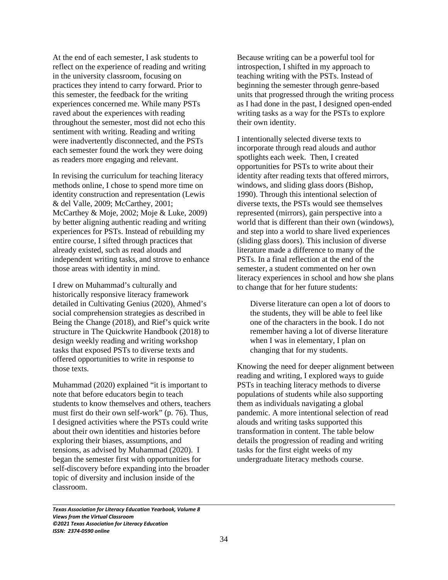At the end of each semester, I ask students to reflect on the experience of reading and writing in the university classroom, focusing on practices they intend to carry forward. Prior to this semester, the feedback for the writing experiences concerned me. While many PSTs raved about the experiences with reading throughout the semester, most did not echo this sentiment with writing. Reading and writing were inadvertently disconnected, and the PSTs each semester found the work they were doing as readers more engaging and relevant.

In revising the curriculum for teaching literacy methods online, I chose to spend more time on identity construction and representation (Lewis & del Valle, 2009; McCarthey, 2001; McCarthey & Moje, 2002; Moje & Luke, 2009) by better aligning authentic reading and writing experiences for PSTs. Instead of rebuilding my entire course, I sifted through practices that already existed, such as read alouds and independent writing tasks, and strove to enhance those areas with identity in mind.

I drew on Muhammad's culturally and historically responsive literacy framework detailed in Cultivating Genius (2020), Ahmed's social comprehension strategies as described in Being the Change (2018), and Rief's quick write structure in The Quickwrite Handbook (2018) to design weekly reading and writing workshop tasks that exposed PSTs to diverse texts and offered opportunities to write in response to those texts.

Muhammad (2020) explained "it is important to note that before educators begin to teach students to know themselves and others, teachers must first do their own self-work" (p. 76). Thus, I designed activities where the PSTs could write about their own identities and histories before exploring their biases, assumptions, and tensions, as advised by Muhammad (2020). I began the semester first with opportunities for self-discovery before expanding into the broader topic of diversity and inclusion inside of the classroom.

Because writing can be a powerful tool for introspection, I shifted in my approach to teaching writing with the PSTs. Instead of beginning the semester through genre-based units that progressed through the writing process as I had done in the past, I designed open-ended writing tasks as a way for the PSTs to explore their own identity.

I intentionally selected diverse texts to incorporate through read alouds and author spotlights each week. Then, I created opportunities for PSTs to write about their identity after reading texts that offered mirrors, windows, and sliding glass doors (Bishop, 1990). Through this intentional selection of diverse texts, the PSTs would see themselves represented (mirrors), gain perspective into a world that is different than their own (windows), and step into a world to share lived experiences (sliding glass doors). This inclusion of diverse literature made a difference to many of the PSTs. In a final reflection at the end of the semester, a student commented on her own literacy experiences in school and how she plans to change that for her future students:

Diverse literature can open a lot of doors to the students, they will be able to feel like one of the characters in the book. I do not remember having a lot of diverse literature when I was in elementary, I plan on changing that for my students.

Knowing the need for deeper alignment between reading and writing, I explored ways to guide PSTs in teaching literacy methods to diverse populations of students while also supporting them as individuals navigating a global pandemic. A more intentional selection of read alouds and writing tasks supported this transformation in content. The table below details the progression of reading and writing tasks for the first eight weeks of my undergraduate literacy methods course.

*Texas Association for Literacy Education Yearbook, Volume 8 Views from the Virtual Classroom ©2021 Texas Association for Literacy Education ISSN: 2374-0590 online*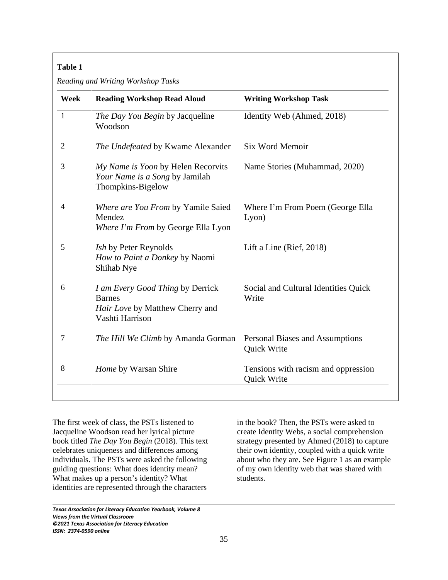# **Table 1**

*Reading and Writing Workshop Tasks*

| Week           | <b>Reading Workshop Read Aloud</b>                                                                      | <b>Writing Workshop Task</b>                       |
|----------------|---------------------------------------------------------------------------------------------------------|----------------------------------------------------|
| $\mathbf{1}$   | The Day You Begin by Jacqueline<br>Woodson                                                              | Identity Web (Ahmed, 2018)                         |
| $\overline{2}$ | The Undefeated by Kwame Alexander                                                                       | <b>Six Word Memoir</b>                             |
| 3              | My Name is Yoon by Helen Recorvits<br>Your Name is a Song by Jamilah<br>Thompkins-Bigelow               | Name Stories (Muhammad, 2020)                      |
| $\overline{4}$ | Where are You From by Yamile Saied<br>Mendez<br>Where I'm From by George Ella Lyon                      | Where I'm From Poem (George Ella<br>Lyon)          |
| 5              | <i>Ish</i> by Peter Reynolds<br>How to Paint a Donkey by Naomi<br>Shihab Nye                            | Lift a Line (Rief, $2018$ )                        |
| 6              | I am Every Good Thing by Derrick<br><b>Barnes</b><br>Hair Love by Matthew Cherry and<br>Vashti Harrison | Social and Cultural Identities Quick<br>Write      |
| 7              | The Hill We Climb by Amanda Gorman                                                                      | Personal Biases and Assumptions<br>Quick Write     |
| 8              | Home by Warsan Shire                                                                                    | Tensions with racism and oppression<br>Quick Write |

The first week of class, the PSTs listened to Jacqueline Woodson read her lyrical picture book titled *The Day You Begin* (2018). This text celebrates uniqueness and differences among individuals. The PSTs were asked the following guiding questions: What does identity mean? What makes up a person's identity? What identities are represented through the characters

*Texas Association for Literacy Education Yearbook, Volume 8 Views from the Virtual Classroom ©2021 Texas Association for Literacy Education ISSN: 2374-0590 online*

 $\overline{\phantom{0}}$ 

in the book? Then, the PSTs were asked to create Identity Webs, a social comprehension strategy presented by Ahmed (2018) to capture their own identity, coupled with a quick write about who they are. See Figure 1 as an example of my own identity web that was shared with students.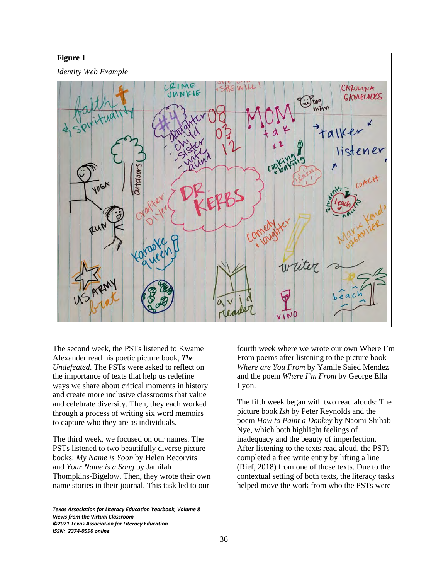

The second week, the PSTs listened to Kwame Alexander read his poetic picture book, *The Undefeated*. The PSTs were asked to reflect on the importance of texts that help us redefine ways we share about critical moments in history and create more inclusive classrooms that value and celebrate diversity. Then, they each worked through a process of writing six word memoirs to capture who they are as individuals.

The third week, we focused on our names. The PSTs listened to two beautifully diverse picture books: *My Name is Yoon* by Helen Recorvits and *Your Name is a Song* by Jamilah Thompkins-Bigelow. Then, they wrote their own name stories in their journal. This task led to our

fourth week where we wrote our own Where I'm From poems after listening to the picture book *Where are You From* by Yamile Saied Mendez and the poem *Where I'm From* by George Ella Lyon.

The fifth week began with two read alouds: The picture book *Ish* by Peter Reynolds and the poem *How to Paint a Donkey* by Naomi Shihab Nye, which both highlight feelings of inadequacy and the beauty of imperfection. After listening to the texts read aloud, the PSTs completed a free write entry by lifting a line (Rief, 2018) from one of those texts. Due to the contextual setting of both texts, the literacy tasks helped move the work from who the PSTs were

*Texas Association for Literacy Education Yearbook, Volume 8 Views from the Virtual Classroom ©2021 Texas Association for Literacy Education ISSN: 2374-0590 online*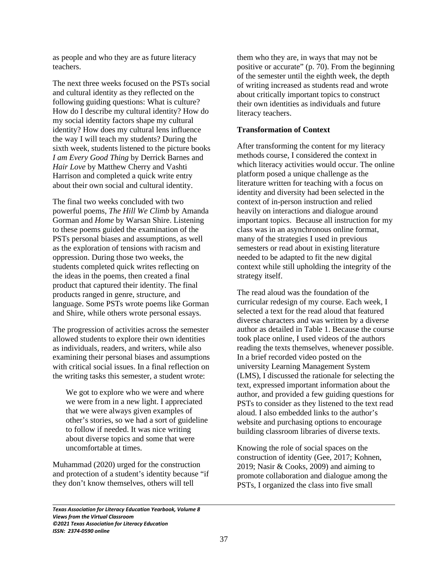as people and who they are as future literacy teachers.

The next three weeks focused on the PSTs social and cultural identity as they reflected on the following guiding questions: What is culture? How do I describe my cultural identity? How do my social identity factors shape my cultural identity? How does my cultural lens influence the way I will teach my students? During the sixth week, students listened to the picture books *I am Every Good Thing* by Derrick Barnes and *Hair Love* by Matthew Cherry and Vashti Harrison and completed a quick write entry about their own social and cultural identity.

The final two weeks concluded with two powerful poems, *The Hill We Climb* by Amanda Gorman and *Home* by Warsan Shire. Listening to these poems guided the examination of the PSTs personal biases and assumptions, as well as the exploration of tensions with racism and oppression. During those two weeks, the students completed quick writes reflecting on the ideas in the poems, then created a final product that captured their identity. The final products ranged in genre, structure, and language. Some PSTs wrote poems like Gorman and Shire, while others wrote personal essays.

The progression of activities across the semester allowed students to explore their own identities as individuals, readers, and writers, while also examining their personal biases and assumptions with critical social issues. In a final reflection on the writing tasks this semester, a student wrote:

We got to explore who we were and where we were from in a new light. I appreciated that we were always given examples of other's stories, so we had a sort of guideline to follow if needed. It was nice writing about diverse topics and some that were uncomfortable at times.

Muhammad (2020) urged for the construction and protection of a student's identity because "if they don't know themselves, others will tell

them who they are, in ways that may not be positive or accurate" (p. 70). From the beginning of the semester until the eighth week, the depth of writing increased as students read and wrote about critically important topics to construct their own identities as individuals and future literacy teachers.

# **Transformation of Context**

After transforming the content for my literacy methods course, I considered the context in which literacy activities would occur. The online platform posed a unique challenge as the literature written for teaching with a focus on identity and diversity had been selected in the context of in-person instruction and relied heavily on interactions and dialogue around important topics. Because all instruction for my class was in an asynchronous online format, many of the strategies I used in previous semesters or read about in existing literature needed to be adapted to fit the new digital context while still upholding the integrity of the strategy itself.

The read aloud was the foundation of the curricular redesign of my course. Each week, I selected a text for the read aloud that featured diverse characters and was written by a diverse author as detailed in Table 1. Because the course took place online, I used videos of the authors reading the texts themselves, whenever possible. In a brief recorded video posted on the university Learning Management System (LMS), I discussed the rationale for selecting the text, expressed important information about the author, and provided a few guiding questions for PSTs to consider as they listened to the text read aloud. I also embedded links to the author's website and purchasing options to encourage building classroom libraries of diverse texts.

Knowing the role of social spaces on the construction of identity (Gee, 2017; Kohnen, 2019; Nasir & Cooks, 2009) and aiming to promote collaboration and dialogue among the PSTs, I organized the class into five small

*Texas Association for Literacy Education Yearbook, Volume 8 Views from the Virtual Classroom ©2021 Texas Association for Literacy Education ISSN: 2374-0590 online*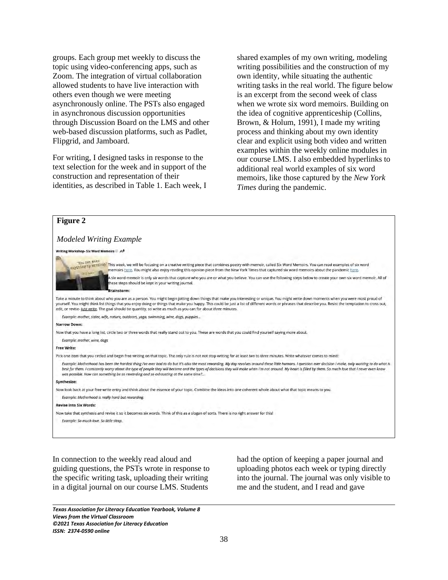groups. Each group met weekly to discuss the topic using video-conferencing apps, such as Zoom. The integration of virtual collaboration allowed students to have live interaction with others even though we were meeting asynchronously online. The PSTs also engaged in asynchronous discussion opportunities through Discussion Board on the LMS and other web-based discussion platforms, such as Padlet, Flipgrid, and Jamboard.

For writing, I designed tasks in response to the text selection for the week and in support of the construction and representation of their identities, as described in Table 1. Each week, I

shared examples of my own writing, modeling writing possibilities and the construction of my own identity, while situating the authentic writing tasks in the real world. The figure below is an excerpt from the second week of class when we wrote six word memoirs. Building on the idea of cognitive apprenticeship (Collins, Brown, & Holum, 1991), I made my writing process and thinking about my own identity clear and explicit using both video and written examples within the weekly online modules in our course LMS. I also embedded hyperlinks to additional real world examples of six word memoirs, like those captured by the *New York Times* during the pandemic.

# **Figure 2**

## *Modeled Writing Example*

#### Writing Workshop- Six Word Memoirs A



and the matrice of this week, we will be focusing on a creative writing piece that combines poetry with memoir, called Six Word Memoirs. You can read examples of six word memoirs here. You might also enjoy reading this opinion piece from the New York Times that captured six word memoirs about the pandemic here six word memoir is only six words that capture who you are or what you believe. You can use the following steps below to create your own six word memoir. All of

hese steps should be kept in your writing journal.

Take a minute to think about who you are as a person. You might begin jotting down things that make you interesting or unique. You might write down moments when you were most proud of yourself. You might think list things that you enjoy doing or things that make you happy. This could be just a list of different words or phrases that describe you. Resist the temptation to cross out, edit, or revise- just write. The goal should be quantity, so write as much as you can for about three minutes.

Example: mother, sister, wife, nature, outdoors, yoga, swimming, wine, dogs, puppies..

#### **Narrow Down**

Now that you have a long list, circle two or three words that really stand out to you. These are words that you could find yourself saying more about.

Example: mother, wine, dogs

#### **Free Write:**

Pick one item that you circled and begin free writing on that topic. The only rule is not not stop writing for at least two to three minutes. Write whatever comes to mind!

Example: Motherhood has been the hardest thing I've ever had to do but it's also the most rewarding. My day revolves around these little humans. I question ever decision I make, only wanting to do what is best for them. I constantly worry about the type of people they will become and the types of decisions they will make when I'm not around. My heart is filled by them. So much love that I never even knew was possible. How can something be so rewarding and so exhausting at the same time?..

#### Synthesize

 $\overline{\phantom{0}}$ 

Now look back at your free write entry and think about the essence of your topic. Combine the ideas into one coherent whole about what that topic means to you.

### Example: Motherhood is really hard but rewarding

#### **Revise into Six Words:**

Now take that synthesis and revise it so it becomes six words. Think of this as a slogan of sorts. There is no right answer for this!

Example: So much love, So little sleep.

In connection to the weekly read aloud and guiding questions, the PSTs wrote in response to the specific writing task, uploading their writing in a digital journal on our course LMS. Students

had the option of keeping a paper journal and uploading photos each week or typing directly into the journal. The journal was only visible to me and the student, and I read and gave

*Texas Association for Literacy Education Yearbook, Volume 8 Views from the Virtual Classroom ©2021 Texas Association for Literacy Education ISSN: 2374-0590 online*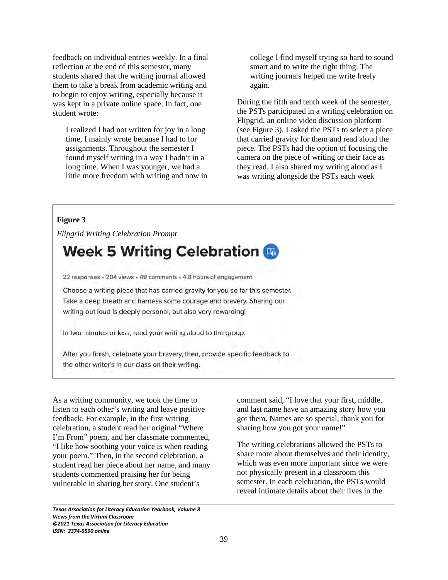feedback on individual entries weekly. In a final reflection at the end of this semester, many students shared that the writing journal allowed them to take a break from academic writing and to begin to enjoy writing, especially because it was kept in a private online space. In fact, one student wrote:

I realized I had not written for joy in a long time, I mainly wrote because I had to for assignments. Throughout the semester I found myself writing in a way I hadn't in a long time. When I was younger, we had a little more freedom with writing and now in college I find myself trying so hard to sound smart and to write the right thing. The writing journals helped me write freely again.

During the fifth and tenth week of the semester, the PSTs participated in a writing celebration on Flipgrid, an online video discussion platform (see Figure 3). I asked the PSTs to select a piece that carried gravity for them and read aloud the piece. The PSTs had the option of focusing the camera on the piece of writing or their face as they read. I also shared my writing aloud as I was writing alongside the PSTs each week

# **Figure 3**

 $\overline{\phantom{0}}$ 

*Flipgrid Writing Celebration Prompt* 

# **Week 5 Writing Celebration &**

22 responses - 204 views - 49 comments - 4.8 hours of engagement

Choose a writing piece that has carried gravity for you so far this semester. Take a deep breath and harness some courage and bravery. Sharing our writing out loud is deeply personal, but also very rewarding!

In two minutes or less, read your writing aloud to the group.

After you finish, celebrate your bravery, then, provide specific feedback to the other writer's in our class on their writing.

As a writing community, we took the time to listen to each other's writing and leave positive feedback. For example, in the first writing celebration, a student read her original "Where I'm From" poem, and her classmate commented, "I like how soothing your voice is when reading your poem." Then, in the second celebration, a student read her piece about her name, and many students commented praising her for being vulnerable in sharing her story. One student's

*Texas Association for Literacy Education Yearbook, Volume 8 Views from the Virtual Classroom ©2021 Texas Association for Literacy Education ISSN: 2374-0590 online*

comment said, "I love that your first, middle, and last name have an amazing story how you got them. Names are so special, thank you for sharing how you got your name!"

The writing celebrations allowed the PSTs to share more about themselves and their identity, which was even more important since we were not physically present in a classroom this semester. In each celebration, the PSTs would reveal intimate details about their lives in the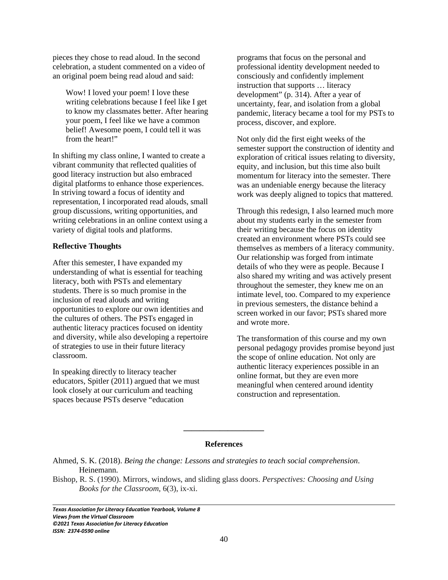pieces they chose to read aloud. In the second celebration, a student commented on a video of an original poem being read aloud and said:

Wow! I loved your poem! I love these writing celebrations because I feel like I get to know my classmates better. After hearing your poem, I feel like we have a common belief! Awesome poem, I could tell it was from the heart!"

In shifting my class online, I wanted to create a vibrant community that reflected qualities of good literacy instruction but also embraced digital platforms to enhance those experiences. In striving toward a focus of identity and representation, I incorporated read alouds, small group discussions, writing opportunities, and writing celebrations in an online context using a variety of digital tools and platforms.

# **Reflective Thoughts**

After this semester, I have expanded my understanding of what is essential for teaching literacy, both with PSTs and elementary students. There is so much promise in the inclusion of read alouds and writing opportunities to explore our own identities and the cultures of others. The PSTs engaged in authentic literacy practices focused on identity and diversity, while also developing a repertoire of strategies to use in their future literacy classroom.

In speaking directly to literacy teacher educators, Spitler (2011) argued that we must look closely at our curriculum and teaching spaces because PSTs deserve "education

programs that focus on the personal and professional identity development needed to consciously and confidently implement instruction that supports … literacy development" (p. 314). After a year of uncertainty, fear, and isolation from a global pandemic, literacy became a tool for my PSTs to process, discover, and explore.

Not only did the first eight weeks of the semester support the construction of identity and exploration of critical issues relating to diversity, equity, and inclusion, but this time also built momentum for literacy into the semester. There was an undeniable energy because the literacy work was deeply aligned to topics that mattered.

Through this redesign, I also learned much more about my students early in the semester from their writing because the focus on identity created an environment where PSTs could see themselves as members of a literacy community. Our relationship was forged from intimate details of who they were as people. Because I also shared my writing and was actively present throughout the semester, they knew me on an intimate level, too. Compared to my experience in previous semesters, the distance behind a screen worked in our favor; PSTs shared more and wrote more.

The transformation of this course and my own personal pedagogy provides promise beyond just the scope of online education. Not only are authentic literacy experiences possible in an online format, but they are even more meaningful when centered around identity construction and representation.

## **References**

**\_\_\_\_\_\_\_\_\_\_\_\_\_\_\_\_\_\_\_\_**

Bishop, R. S. (1990). Mirrors, windows, and sliding glass doors. *Perspectives: Choosing and Using Books for the Classroom*, 6(3), ix-xi.

*Texas Association for Literacy Education Yearbook, Volume 8 Views from the Virtual Classroom ©2021 Texas Association for Literacy Education ISSN: 2374-0590 online*

Ahmed, S. K. (2018). *Being the change: Lessons and strategies to teach social comprehension*. Heinemann.